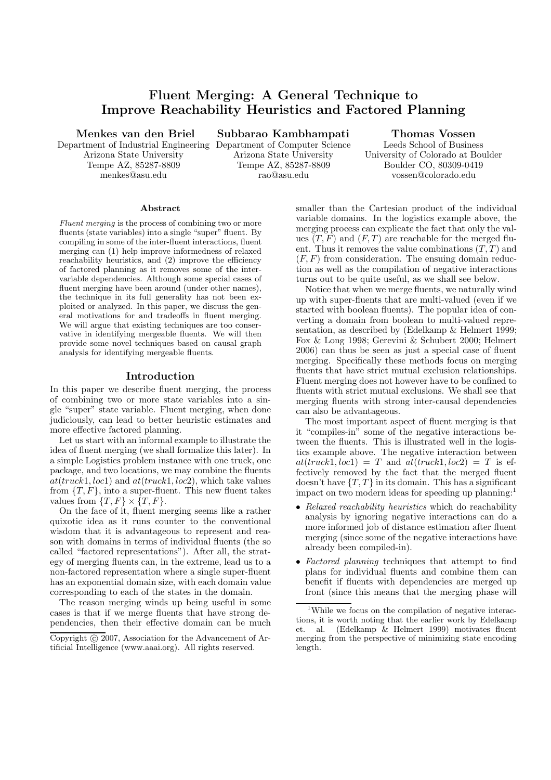# Fluent Merging: A General Technique to Improve Reachability Heuristics and Factored Planning

Menkes van den Briel

Arizona State University Tempe AZ, 85287-8809 menkes@asu.edu

Department of Industrial Engineering Department of Computer Science Subbarao Kambhampati Arizona State University

> Tempe AZ, 85287-8809 rao@asu.edu

Thomas Vossen Leeds School of Business University of Colorado at Boulder Boulder CO, 80309-0419 vossen@colorado.edu

#### Abstract

Fluent merging is the process of combining two or more fluents (state variables) into a single "super" fluent. By compiling in some of the inter-fluent interactions, fluent merging can (1) help improve informedness of relaxed reachability heuristics, and (2) improve the efficiency of factored planning as it removes some of the intervariable dependencies. Although some special cases of fluent merging have been around (under other names), the technique in its full generality has not been exploited or analyzed. In this paper, we discuss the general motivations for and tradeoffs in fluent merging. We will argue that existing techniques are too conservative in identifying mergeable fluents. We will then provide some novel techniques based on causal graph analysis for identifying mergeable fluents.

## Introduction

In this paper we describe fluent merging, the process of combining two or more state variables into a single "super" state variable. Fluent merging, when done judiciously, can lead to better heuristic estimates and more effective factored planning.

Let us start with an informal example to illustrate the idea of fluent merging (we shall formalize this later). In a simple Logistics problem instance with one truck, one package, and two locations, we may combine the fluents  $at(truck1, loc1)$  and  $at(truck1, loc2)$ , which take values from  $\{T, F\}$ , into a super-fluent. This new fluent takes values from  $\{T, F\} \times \{T, F\}.$ 

On the face of it, fluent merging seems like a rather quixotic idea as it runs counter to the conventional wisdom that it is advantageous to represent and reason with domains in terms of individual fluents (the so called "factored representations"). After all, the strategy of merging fluents can, in the extreme, lead us to a non-factored representation where a single super-fluent has an exponential domain size, with each domain value corresponding to each of the states in the domain.

The reason merging winds up being useful in some cases is that if we merge fluents that have strong dependencies, then their effective domain can be much smaller than the Cartesian product of the individual variable domains. In the logistics example above, the merging process can explicate the fact that only the values  $(T, F)$  and  $(F, T)$  are reachable for the merged fluent. Thus it removes the value combinations  $(T, T)$  and  $(F, F)$  from consideration. The ensuing domain reduction as well as the compilation of negative interactions turns out to be quite useful, as we shall see below.

Notice that when we merge fluents, we naturally wind up with super-fluents that are multi-valued (even if we started with boolean fluents). The popular idea of converting a domain from boolean to multi-valued representation, as described by (Edelkamp & Helmert 1999; Fox & Long 1998; Gerevini & Schubert 2000; Helmert 2006) can thus be seen as just a special case of fluent merging. Specifically these methods focus on merging fluents that have strict mutual exclusion relationships. Fluent merging does not however have to be confined to fluents with strict mutual exclusions. We shall see that merging fluents with strong inter-causal dependencies can also be advantageous.

The most important aspect of fluent merging is that it "compiles-in" some of the negative interactions between the fluents. This is illustrated well in the logistics example above. The negative interaction between  $at(truck1, loc1) = T$  and  $at(truck1, loc2) = T$  is effectively removed by the fact that the merged fluent doesn't have  $\{T, T\}$  in its domain. This has a significant impact on two modern ideas for speeding up planning:<sup>1</sup>

- Relaxed reachability heuristics which do reachability analysis by ignoring negative interactions can do a more informed job of distance estimation after fluent merging (since some of the negative interactions have already been compiled-in).
- Factored planning techniques that attempt to find plans for individual fluents and combine them can benefit if fluents with dependencies are merged up front (since this means that the merging phase will

Copyright (c) 2007, Association for the Advancement of Artificial Intelligence (www.aaai.org). All rights reserved.

<sup>&</sup>lt;sup>1</sup>While we focus on the compilation of negative interactions, it is worth noting that the earlier work by Edelkamp et. al. (Edelkamp & Helmert 1999) motivates fluent merging from the perspective of minimizing state encoding length.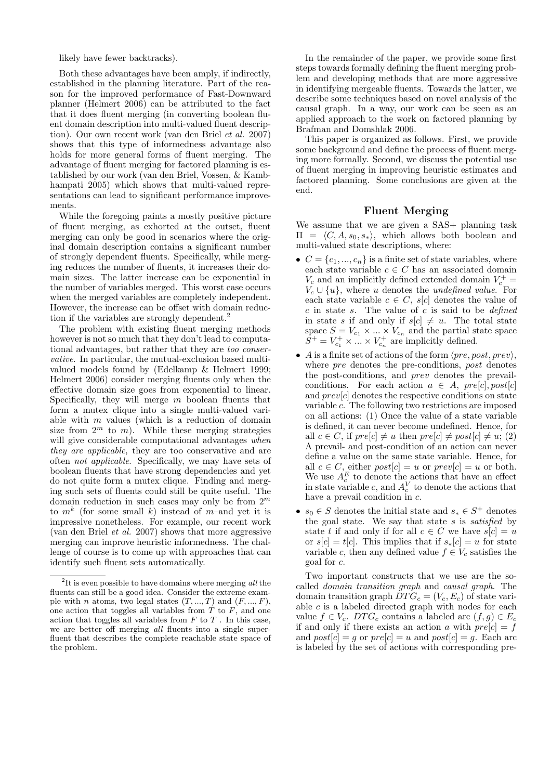likely have fewer backtracks).

Both these advantages have been amply, if indirectly, established in the planning literature. Part of the reason for the improved performance of Fast-Downward planner (Helmert 2006) can be attributed to the fact that it does fluent merging (in converting boolean fluent domain description into multi-valued fluent description). Our own recent work (van den Briel et al. 2007) shows that this type of informedness advantage also holds for more general forms of fluent merging. The advantage of fluent merging for factored planning is established by our work (van den Briel, Vossen, & Kambhampati 2005) which shows that multi-valued representations can lead to significant performance improvements.

While the foregoing paints a mostly positive picture of fluent merging, as exhorted at the outset, fluent merging can only be good in scenarios where the original domain description contains a significant number of strongly dependent fluents. Specifically, while merging reduces the number of fluents, it increases their domain sizes. The latter increase can be exponential in the number of variables merged. This worst case occurs when the merged variables are completely independent. However, the increase can be offset with domain reduction if the variables are strongly dependent.<sup>2</sup>

The problem with existing fluent merging methods however is not so much that they don't lead to computational advantages, but rather that they are too conservative. In particular, the mutual-exclusion based multivalued models found by (Edelkamp & Helmert 1999; Helmert 2006) consider merging fluents only when the effective domain size goes from exponential to linear. Specifically, they will merge  $m$  boolean fluents that form a mutex clique into a single multi-valued variable with  $m$  values (which is a reduction of domain size from  $2^m$  to m). While these merging strategies will give considerable computational advantages when they are applicable, they are too conservative and are often not applicable. Specifically, we may have sets of boolean fluents that have strong dependencies and yet do not quite form a mutex clique. Finding and merging such sets of fluents could still be quite useful. The domain reduction in such cases may only be from  $2^m$ to  $m^k$  (for some small k) instead of m-and yet it is impressive nonetheless. For example, our recent work (van den Briel et al. 2007) shows that more aggressive merging can improve heuristic informedness. The challenge of course is to come up with approaches that can identify such fluent sets automatically.

In the remainder of the paper, we provide some first steps towards formally defining the fluent merging problem and developing methods that are more aggressive in identifying mergeable fluents. Towards the latter, we describe some techniques based on novel analysis of the causal graph. In a way, our work can be seen as an applied approach to the work on factored planning by Brafman and Domshlak 2006.

This paper is organized as follows. First, we provide some background and define the process of fluent merging more formally. Second, we discuss the potential use of fluent merging in improving heuristic estimates and factored planning. Some conclusions are given at the end.

## Fluent Merging

We assume that we are given a SAS+ planning task  $\Pi = \langle C, A, s_0, s_* \rangle$ , which allows both boolean and multi-valued state descriptions, where:

- $C = \{c_1, ..., c_n\}$  is a finite set of state variables, where each state variable  $c \in C$  has an associated domain  $V_c$  and an implicitly defined extended domain  $V_c^+$  =  $V_c \cup \{u\}$ , where u denotes the undefined value. For each state variable  $c \in C$ ,  $s[c]$  denotes the value of  $c$  in state s. The value of  $c$  is said to be *defined* in state s if and only if  $s[c] \neq u$ . The total state space  $S = V_{c_1} \times ... \times V_{c_n}$  and the partial state space  $S^+ = V_{c_1}^+ \times ... \times V_{c_n}^+$  are implicitly defined.
- A is a finite set of actions of the form  $\langle pre, post, prev \rangle$ , where *pre* denotes the pre-conditions, *post* denotes the post-conditions, and prev denotes the prevailconditions. For each action  $a \in A$ ,  $pre[c]$ ,  $post[c]$ and  $prev[c]$  denotes the respective conditions on state variable c. The following two restrictions are imposed on all actions: (1) Once the value of a state variable is defined, it can never become undefined. Hence, for all  $c \in C$ , if  $pre[c] \neq u$  then  $pre[c] \neq post[c] \neq u$ ; (2) A prevail- and post-condition of an action can never define a value on the same state variable. Hence, for all  $c \in C$ , either  $post[c] = u$  or  $prev[c] = u$  or both. We use  $A_c^E$  to denote the actions that have an effect in state variable c, and  $A_c^V$  to denote the actions that have a prevail condition in c.
- $s_0 \in S$  denotes the initial state and  $s_* \in S^+$  denotes the goal state. We say that state  $s$  is satisfied by state t if and only if for all  $c \in C$  we have  $s[c] = u$ or  $s[c] = t[c]$ . This implies that if  $s_*[c] = u$  for state variable c, then any defined value  $f \in V_c$  satisfies the goal for c.

Two important constructs that we use are the socalled domain transition graph and causal graph. The domain transition graph  $\tilde{DTG}_c = (V_c, E_c)$  of state variable  $c$  is a labeled directed graph with nodes for each value  $f \in V_c$ . DTG<sub>c</sub> contains a labeled arc  $(f, g) \in E_c$ if and only if there exists an action a with  $pre[c] = f$ and  $post[c] = g$  or  $pre[c] = u$  and  $post[c] = g$ . Each arc is labeled by the set of actions with corresponding pre-

<sup>&</sup>lt;sup>2</sup>It is even possible to have domains where merging  $all$  the fluents can still be a good idea. Consider the extreme example with  $n$  atoms, two legal states  $(T, ..., T)$  and  $(F, ..., F)$ , one action that toggles all variables from  $T$  to  $F$ , and one action that toggles all variables from  $F$  to  $T$ . In this case, we are better off merging all fluents into a single superfluent that describes the complete reachable state space of the problem.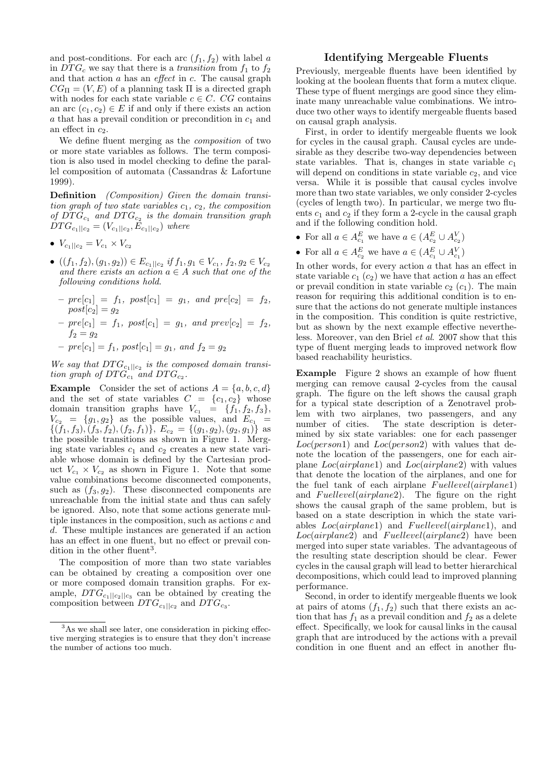and post-conditions. For each arc  $(f_1, f_2)$  with label a in  $DTG_c$  we say that there is a transition from  $f_1$  to  $f_2$ and that action  $a$  has an *effect* in  $c$ . The causal graph  $CG<sub>II</sub> = (V, E)$  of a planning task  $\Pi$  is a directed graph with nodes for each state variable  $c \in C$ . CG contains an arc  $(c_1, c_2) \in E$  if and only if there exists an action a that has a prevail condition or precondition in  $c_1$  and an effect in  $c_2$ .

We define fluent merging as the composition of two or more state variables as follows. The term composition is also used in model checking to define the parallel composition of automata (Cassandras & Lafortune 1999).

Definition (Composition) Given the domain transition graph of two state variables  $c_1, c_2$ , the composition of  $DTG_{c_1}$  and  $DTG_{c_2}$  is the domain transition graph  $DTG_{c_1||c_2} = (V_{c_1||c_2}, E_{c_1||c_2})$  where

- $V_{c_1||c_2} = V_{c_1} \times V_{c_2}$
- $((f_1, f_2), (g_1, g_2)) \in E_{c_1||c_2}$  if  $f_1, g_1 \in V_{c_1}, f_2, g_2 \in V_{c_2}$ and there exists an action  $a \in A$  such that one of the following conditions hold.
	- $pre[c_1] = f_1, post[c_1] = g_1, and pre[c_2] = f_2,$  $post[c_2] = g_2$
	- $pre[c_1] = f_1, post[c_1] = g_1, and prev[c_2] = f_2,$  $f_2 = g_2$
	- $pre[c_1] = f_1, post[c_1] = g_1, and f_2 = g_2$

We say that  $DTG_{c_1||c_2}$  is the composed domain transition graph of  $DTG_{c_1}$  and  $DTG_{c_2}$ .

**Example** Consider the set of actions  $A = \{a, b, c, d\}$ and the set of state variables  $C = \{c_1, c_2\}$  whose domain transition graphs have  $V_{c_1} = \{f_1, f_2, f_3\},\$  $V_{c_2} = \{g_1, g_2\}$  as the possible values, and  $E_{c_1}$  =  $\{(f_1, f_3), (f_3, f_2), (f_2, f_1)\}, E_{c_2} = \{(g_1, g_2), (g_2, g_1)\}\$ as the possible transitions as shown in Figure 1. Merging state variables  $c_1$  and  $c_2$  creates a new state variable whose domain is defined by the Cartesian product  $V_{c_1} \times V_{c_2}$  as shown in Figure 1. Note that some value combinations become disconnected components, such as  $(f_3, g_2)$ . These disconnected components are unreachable from the initial state and thus can safely be ignored. Also, note that some actions generate multiple instances in the composition, such as actions  $c$  and d. These multiple instances are generated if an action has an effect in one fluent, but no effect or prevail condition in the other fluent<sup>3</sup>.

The composition of more than two state variables can be obtained by creating a composition over one or more composed domain transition graphs. For example,  $DTG_{c_1||c_2||c_3}$  can be obtained by creating the composition between  $DTG_{c_1||c_2}$  and  $DTG_{c_3}$ .

## Identifying Mergeable Fluents

Previously, mergeable fluents have been identified by looking at the boolean fluents that form a mutex clique. These type of fluent mergings are good since they eliminate many unreachable value combinations. We introduce two other ways to identify mergeable fluents based on causal graph analysis.

First, in order to identify mergeable fluents we look for cycles in the causal graph. Causal cycles are undesirable as they describe two-way dependencies between state variables. That is, changes in state variable  $c_1$ will depend on conditions in state variable  $c_2$ , and vice versa. While it is possible that causal cycles involve more than two state variables, we only consider 2-cycles (cycles of length two). In particular, we merge two fluents  $c_1$  and  $c_2$  if they form a 2-cycle in the causal graph and if the following condition hold.

- For all  $a \in A_{c_1}^E$  we have  $a \in (A_{c_2}^E \cup A_{c_2}^V)$
- For all  $a \in A_{c_2}^E$  we have  $a \in (A_{c_1}^E \cup A_{c_1}^V)$

In other words, for every action  $a$  that has an effect in state variable  $c_1$  ( $c_2$ ) we have that action a has an effect or prevail condition in state variable  $c_2$   $(c_1)$ . The main reason for requiring this additional condition is to ensure that the actions do not generate multiple instances in the composition. This condition is quite restrictive, but as shown by the next example effective nevertheless. Moreover, van den Briel et al. 2007 show that this type of fluent merging leads to improved network flow based reachability heuristics.

Example Figure 2 shows an example of how fluent merging can remove causal 2-cycles from the causal graph. The figure on the left shows the causal graph for a typical state description of a Zenotravel problem with two airplanes, two passengers, and any number of cities. The state description is determined by six state variables: one for each passenger  $Loc(person1)$  and  $Loc(person2)$  with values that denote the location of the passengers, one for each airplane  $Loc(airplane1)$  and  $Loc(airplane2)$  with values that denote the location of the airplanes, and one for the fuel tank of each airplane Fuellevel(airplane1) and Fuellevel(airplane2). The figure on the right shows the causal graph of the same problem, but is based on a state description in which the state variables Loc(airplane1) and Fuellevel(airplane1), and  $Loc(airplane2)$  and  $Fuellevel(airplane2)$  have been merged into super state variables. The advantageous of the resulting state description should be clear. Fewer cycles in the causal graph will lead to better hierarchical decompositions, which could lead to improved planning performance.

Second, in order to identify mergeable fluents we look at pairs of atoms  $(f_1, f_2)$  such that there exists an action that has  $f_1$  as a prevail condition and  $f_2$  as a delete effect. Specifically, we look for causal links in the causal graph that are introduced by the actions with a prevail condition in one fluent and an effect in another flu-

<sup>&</sup>lt;sup>3</sup>As we shall see later, one consideration in picking effective merging strategies is to ensure that they don't increase the number of actions too much.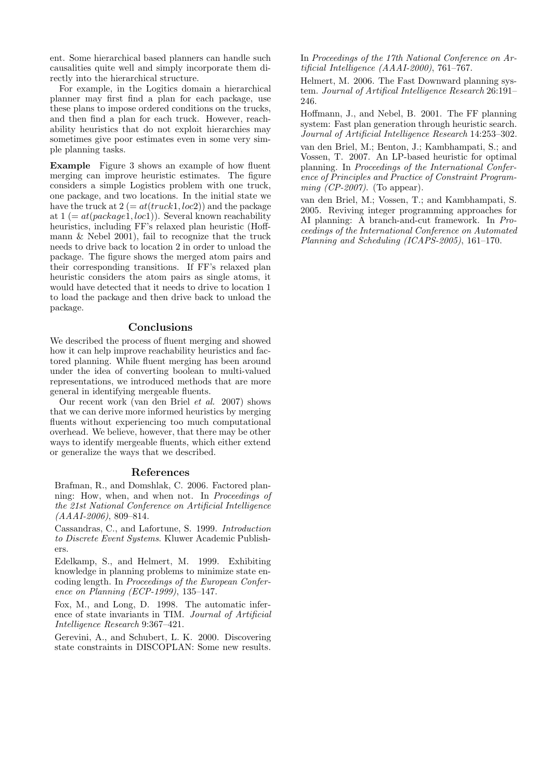ent. Some hierarchical based planners can handle such causalities quite well and simply incorporate them directly into the hierarchical structure.

For example, in the Logitics domain a hierarchical planner may first find a plan for each package, use these plans to impose ordered conditions on the trucks, and then find a plan for each truck. However, reachability heuristics that do not exploit hierarchies may sometimes give poor estimates even in some very simple planning tasks.

Example Figure 3 shows an example of how fluent merging can improve heuristic estimates. The figure considers a simple Logistics problem with one truck, one package, and two locations. In the initial state we have the truck at  $2 (= at(truck1, loc2))$  and the package at  $1 (=at(package1, loc1))$ . Several known reachability heuristics, including FF's relaxed plan heuristic (Hoffmann & Nebel 2001), fail to recognize that the truck needs to drive back to location 2 in order to unload the package. The figure shows the merged atom pairs and their corresponding transitions. If FF's relaxed plan heuristic considers the atom pairs as single atoms, it would have detected that it needs to drive to location 1 to load the package and then drive back to unload the package.

## Conclusions

We described the process of fluent merging and showed how it can help improve reachability heuristics and factored planning. While fluent merging has been around under the idea of converting boolean to multi-valued representations, we introduced methods that are more general in identifying mergeable fluents.

Our recent work (van den Briel et al. 2007) shows that we can derive more informed heuristics by merging fluents without experiencing too much computational overhead. We believe, however, that there may be other ways to identify mergeable fluents, which either extend or generalize the ways that we described.

### References

Brafman, R., and Domshlak, C. 2006. Factored planning: How, when, and when not. In Proceedings of the 21st National Conference on Artificial Intelligence (AAAI-2006), 809–814.

Cassandras, C., and Lafortune, S. 1999. Introduction to Discrete Event Systems. Kluwer Academic Publishers.

Edelkamp, S., and Helmert, M. 1999. Exhibiting knowledge in planning problems to minimize state encoding length. In Proceedings of the European Conference on Planning (ECP-1999), 135–147.

Fox, M., and Long, D. 1998. The automatic inference of state invariants in TIM. Journal of Artificial Intelligence Research 9:367–421.

Gerevini, A., and Schubert, L. K. 2000. Discovering state constraints in DISCOPLAN: Some new results.

In Proceedings of the 17th National Conference on Artificial Intelligence (AAAI-2000), 761–767.

Helmert, M. 2006. The Fast Downward planning system. Journal of Artifical Intelligence Research 26:191– 246.

Hoffmann, J., and Nebel, B. 2001. The FF planning system: Fast plan generation through heuristic search. Journal of Artificial Intelligence Research 14:253–302.

van den Briel, M.; Benton, J.; Kambhampati, S.; and Vossen, T. 2007. An LP-based heuristic for optimal planning. In Proceedings of the International Conference of Principles and Practice of Constraint Programming  $(CP-2007)$ . (To appear).

van den Briel, M.; Vossen, T.; and Kambhampati, S. 2005. Reviving integer programming approaches for AI planning: A branch-and-cut framework. In Proceedings of the International Conference on Automated Planning and Scheduling (ICAPS-2005), 161–170.